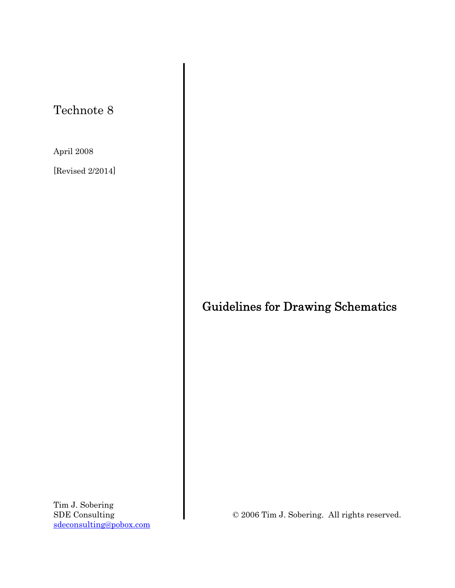## Technote 8

April 2008

[Revised 2/2014]

# Guidelines for Drawing Schematics

Tim J. Sobering SDE Consulting sdeconsulting@pobox.com

© 2006 Tim J. Sobering. All rights reserved.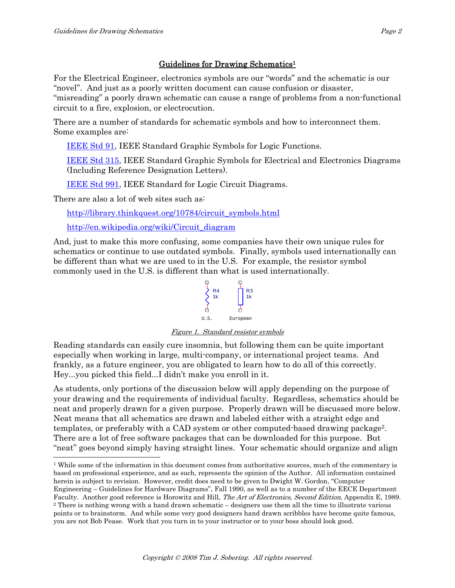### Guidelines for Drawing Schematics1

For the Electrical Engineer, electronics symbols are our "words" and the schematic is our "novel". And just as a poorly written document can cause confusion or disaster, "misreading" a poorly drawn schematic can cause a range of problems from a non-functional circuit to a fire, explosion, or electrocution.

There are a number of standards for schematic symbols and how to interconnect them. Some examples are:

IEEE Std 91, IEEE Standard Graphic Symbols for Logic Functions.

IEEE Std 315, IEEE Standard Graphic Symbols for Electrical and Electronics Diagrams (Including Reference Designation Letters).

IEEE Std 991, IEEE Standard for Logic Circuit Diagrams.

There are also a lot of web sites such as:

http://library.thinkquest.org/10784/circuit\_symbols.html

http://en.wikipedia.org/wiki/Circuit\_diagram

And, just to make this more confusing, some companies have their own unique rules for schematics or continue to use outdated symbols. Finally, symbols used internationally can be different than what we are used to in the U.S. For example, the resistor symbol commonly used in the U.S. is different than what is used internationally.



Figure 1. Standard resistor symbols

Reading standards can easily cure insomnia, but following them can be quite important especially when working in large, multi-company, or international project teams. And frankly, as a future engineer, you are obligated to learn how to do all of this correctly. Hey...you picked this field...I didn't make you enroll in it.

As students, only portions of the discussion below will apply depending on the purpose of your drawing and the requirements of individual faculty. Regardless, schematics should be neat and properly drawn for a given purpose. Properly drawn will be discussed more below. Neat means that all schematics are drawn and labeled either with a straight edge and templates, or preferably with a CAD system or other computed-based drawing package2. There are a lot of free software packages that can be downloaded for this purpose. But "neat" goes beyond simply having straight lines. Your schematic should organize and align

 $\overline{a}$ <sup>1</sup> While some of the information in this document comes from authoritative sources, much of the commentary is based on professional experience, and as such, represents the opinion of the Author. All information contained herein is subject to revision. However, credit does need to be given to Dwight W. Gordon, "Computer Engineering – Guidelines for Hardware Diagrams", Fall 1990, as well as to a number of the EECE Department Faculty. Another good reference is Horowitz and Hill, *The Art of Electronics, Second Edition*, Appendix E, 1989. <sup>2</sup> There is nothing wrong with a hand drawn schematic – designers use them all the time to illustrate vario points or to brainstorm. And while some very good designers hand drawn scribbles have become quite famous, you are not Bob Pease. Work that you turn in to your instructor or to your boss should look good.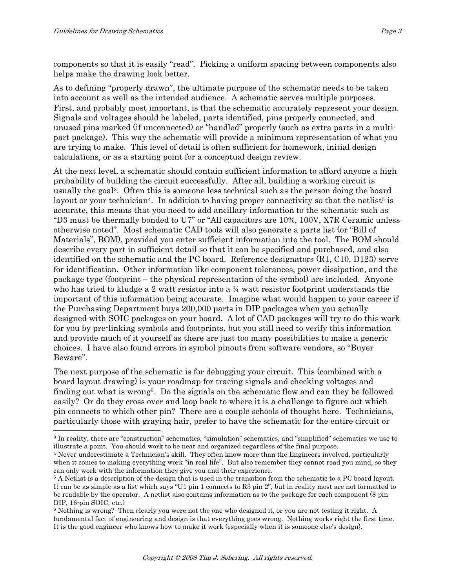components so that it is easily "read". Picking a uniform spacing between components also helps make the drawing look better.

As to defining "properly drawn", the ultimate purpose of the schematic needs to be taken into account as well as the intended audience. A schematic serves multiple purposes. First, and probably most important, is that the schematic accurately represent your design. Signals and voltages should be labeled, parts identified, pins properly connected, and unused pins marked (if unconnected) or "handled" properly (such as extra parts in a multipart package). This way the schematic will provide a minimum representation of what you are trying to make. This level of detail is often sufficient for homework, initial design calculations, or as a starting point for a conceptual design review.

At the next level, a schematic should contain sufficient information to afford anyone a high probability of building the circuit successfully. After all, building a working circuit is usually the goal3. Often this is someone less technical such as the person doing the board layout or your technician<sup>4</sup>. In addition to having proper connectivity so that the netlist<sup>5</sup> is accurate, this means that you need to add ancillary information to the schematic such as "D3 must be thermally bonded to U7" or "All capacitors are 10%, 100V, X7R Ceramic unless otherwise noted". Most schematic CAD tools will also generate a parts list (or "Bill of Materials", BOM), provided you enter sufficient information into the tool. The BOM should describe every part in sufficient detail so that it can be specified and purchased, and also identified on the schematic and the PC board. Reference designators (R1, C10, D123) serve for identification. Other information like component tolerances, power dissipation, and the package type (footprint – the physical representation of the symbol) are included. Anyone who has tried to kludge a 2 watt resistor into a ¼ watt resistor footprint understands the important of this information being accurate. Imagine what would happen to your career if the Purchasing Department buys 200,000 parts in DIP packages when you actually designed with SOIC packages on your board. A lot of CAD packages will try to do this work for you by pre-linking symbols and footprints, but you still need to verify this information and provide much of it yourself as there are just too many possibilities to make a generic choices. I have also found errors in symbol pinouts from software vendors, so "Buyer Beware".

The next purpose of the schematic is for debugging your circuit. This (combined with a board layout drawing) is your roadmap for tracing signals and checking voltages and finding out what is wrong<sup>6</sup>. Do the signals on the schematic flow and can they be followed easily? Or do they cross over and loop back to where it is a challenge to figure out which pin connects to which other pin? There are a couple schools of thought here. Technicians, particularly those with graying hair, prefer to have the schematic for the entire circuit or

<sup>3</sup> In reality, there are "construction" schematics, "simulation" schematics, and "simplified" schematics we use to illustrate a point. You should work to be neat and organized regardless of the final purpose.<br><sup>4</sup> Never underestimate a Technician's skill. They often know more than the Engineers involved, particularly

when it comes to making everything work "in real life". But also remember they cannot read you mind, so they can only work with the information they give you and their experience. 5 A Netlist is a description of the design that is used in the transition from the schematic to a PC board layout.

It can be as simple as a list which says "U1 pin 1 connects to R3 pin 2", but in reality most are not formatted to be readable by the operator. A netlist also contains information as to the package for each component (8-pin DIP, 16-pin SOIC, etc.)

<sup>6</sup> Nothing is wrong? Then clearly you were not the one who designed it, or you are not testing it right. A fundamental fact of engineering and design is that everything goes wrong. Nothing works right the first time. It is the good engineer who knows how to make it work (especially when it is someone else's design).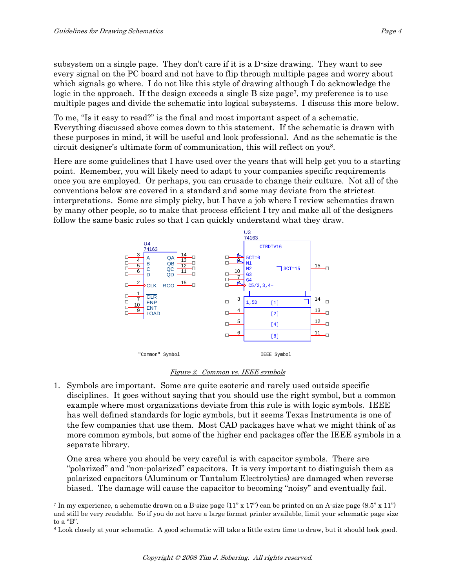subsystem on a single page. They don't care if it is a D-size drawing. They want to see every signal on the PC board and not have to flip through multiple pages and worry about which signals go where. I do not like this style of drawing although I do acknowledge the logic in the approach. If the design exceeds a single B size page<sup>7</sup>, my preference is to use multiple pages and divide the schematic into logical subsystems. I discuss this more below.

To me, "Is it easy to read?" is the final and most important aspect of a schematic. Everything discussed above comes down to this statement. If the schematic is drawn with these purposes in mind, it will be useful and look professional. And as the schematic is the circuit designer's ultimate form of communication, this will reflect on you8.

Here are some guidelines that I have used over the years that will help get you to a starting point. Remember, you will likely need to adapt to your companies specific requirements once you are employed. Or perhaps, you can crusade to change their culture. Not all of the conventions below are covered in a standard and some may deviate from the strictest interpretations. Some are simply picky, but I have a job where I review schematics drawn by many other people, so to make that process efficient I try and make all of the designers follow the same basic rules so that I can quickly understand what they draw.



#### Figure 2. Common vs. IEEE symbols

1. Symbols are important. Some are quite esoteric and rarely used outside specific disciplines. It goes without saying that you should use the right symbol, but a common example where most organizations deviate from this rule is with logic symbols. IEEE has well defined standards for logic symbols, but it seems Texas Instruments is one of the few companies that use them. Most CAD packages have what we might think of as more common symbols, but some of the higher end packages offer the IEEE symbols in a separate library.

 One area where you should be very careful is with capacitor symbols. There are "polarized" and "non-polarized" capacitors. It is very important to distinguish them as polarized capacitors (Aluminum or Tantalum Electrolytics) are damaged when reverse biased. The damage will cause the capacitor to becoming "noisy" and eventually fail.

<sup>&</sup>lt;sup>7</sup> In my experience, a schematic drawn on a B-size page  $(11$ " x  $17$ ") can be printed on an A-size page  $(8.5$ " x  $11$ ") and still be very readable. So if you do not have a large format printer available, limit your schematic page size to a "B".

<sup>8</sup> Look closely at your schematic. A good schematic will take a little extra time to draw, but it should look good.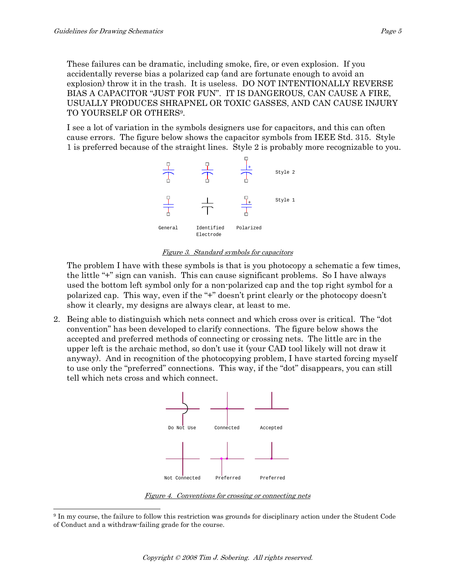These failures can be dramatic, including smoke, fire, or even explosion. If you accidentally reverse bias a polarized cap (and are fortunate enough to avoid an explosion) throw it in the trash. It is useless. DO NOT INTENTIONALLY REVERSE BIAS A CAPACITOR "JUST FOR FUN". IT IS DANGEROUS, CAN CAUSE A FIRE, USUALLY PRODUCES SHRAPNEL OR TOXIC GASSES, AND CAN CAUSE INJURY TO YOURSELF OR OTHERS9.

 I see a lot of variation in the symbols designers use for capacitors, and this can often cause errors. The figure below shows the capacitor symbols from IEEE Std. 315. Style 1 is preferred because of the straight lines. Style 2 is probably more recognizable to you.



#### Figure 3. Standard symbols for capacitors

 The problem I have with these symbols is that is you photocopy a schematic a few times, the little "+" sign can vanish. This can cause significant problems. So I have always used the bottom left symbol only for a non-polarized cap and the top right symbol for a polarized cap. This way, even if the "+" doesn't print clearly or the photocopy doesn't show it clearly, my designs are always clear, at least to me.

2. Being able to distinguish which nets connect and which cross over is critical. The "dot convention" has been developed to clarify connections. The figure below shows the accepted and preferred methods of connecting or crossing nets. The little arc in the upper left is the archaic method, so don't use it (your CAD tool likely will not draw it anyway). And in recognition of the photocopying problem, I have started forcing myself to use only the "preferred" connections. This way, if the "dot" disappears, you can still tell which nets cross and which connect.



Figure 4. Conventions for crossing or connecting nets

 $\overline{a}$ 9 In my course, the failure to follow this restriction was grounds for disciplinary action under the Student Code of Conduct and a withdraw-failing grade for the course.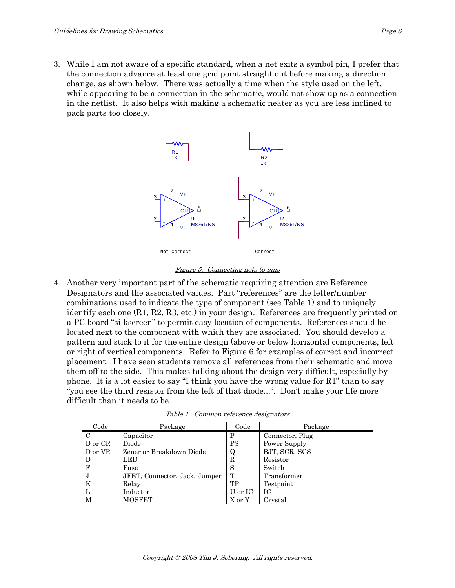3. While I am not aware of a specific standard, when a net exits a symbol pin, I prefer that the connection advance at least one grid point straight out before making a direction change, as shown below. There was actually a time when the style used on the left, while appearing to be a connection in the schematic, would not show up as a connection in the netlist. It also helps with making a schematic neater as you are less inclined to pack parts too closely.



#### Figure 5. Connecting nets to pins

4. Another very important part of the schematic requiring attention are Reference Designators and the associated values. Part "references" are the letter/number combinations used to indicate the type of component (see Table 1) and to uniquely identify each one (R1, R2, R3, etc.) in your design. References are frequently printed on a PC board "silkscreen" to permit easy location of components. References should be located next to the component with which they are associated. You should develop a pattern and stick to it for the entire design (above or below horizontal components, left or right of vertical components. Refer to Figure 6 for examples of correct and incorrect placement. I have seen students remove all references from their schematic and move them off to the side. This makes talking about the design very difficult, especially by phone. It is a lot easier to say "I think you have the wrong value for R1" than to say "you see the third resistor from the left of that diode...". Don't make your life more difficult than it needs to be.

| Code    | Package                       | Code    | Package         |
|---------|-------------------------------|---------|-----------------|
| C       | Capacitor                     | P       | Connector, Plug |
| D or CR | Diode                         | PS      | Power Supply    |
| D or VR | Zener or Breakdown Diode      | Q       | BJT, SCR, SCS   |
| D       | LED                           | R       | Resistor        |
|         | Fuse                          | S       | Switch          |
| J       | JFET, Connector, Jack, Jumper | T       | Transformer     |
| K       | Relay                         | TP      | Testpoint       |
| L.      | Inductor                      | U or IC | IС              |
| М       | <b>MOSFET</b>                 | X or Y  | Crystal         |

Table 1. Common reference designators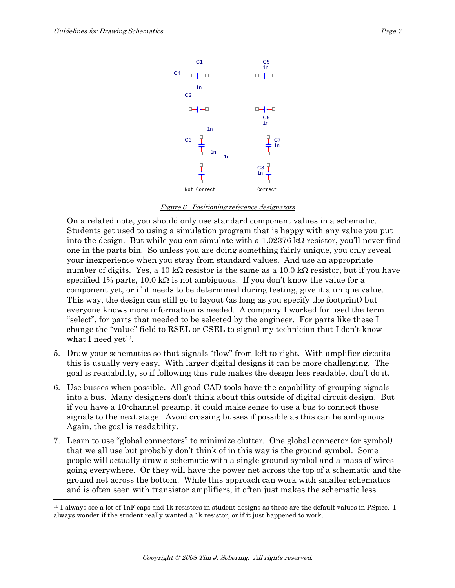

Figure 6. Positioning reference designators

On a related note, you should only use standard component values in a schematic. Students get used to using a simulation program that is happy with any value you put into the design. But while you can simulate with a  $1.02376 \text{ k}\Omega$  resistor, you'll never find one in the parts bin. So unless you are doing something fairly unique, you only reveal your inexperience when you stray from standard values. And use an appropriate number of digits. Yes, a 10 k $\Omega$  resistor is the same as a 10.0 k $\Omega$  resistor, but if you have specified 1% parts, 10.0 k $\Omega$  is not ambiguous. If you don't know the value for a component yet, or if it needs to be determined during testing, give it a unique value. This way, the design can still go to layout (as long as you specify the footprint) but everyone knows more information is needed. A company I worked for used the term "select", for parts that needed to be selected by the engineer. For parts like these I change the "value" field to RSEL or CSEL to signal my technician that I don't know what I need yet $10$ .

- 5. Draw your schematics so that signals "flow" from left to right. With amplifier circuits this is usually very easy. With larger digital designs it can be more challenging. The goal is readability, so if following this rule makes the design less readable, don't do it.
- 6. Use busses when possible. All good CAD tools have the capability of grouping signals into a bus. Many designers don't think about this outside of digital circuit design. But if you have a 10-channel preamp, it could make sense to use a bus to connect those signals to the next stage. Avoid crossing busses if possible as this can be ambiguous. Again, the goal is readability.
- 7. Learn to use "global connectors" to minimize clutter. One global connector (or symbol) that we all use but probably don't think of in this way is the ground symbol. Some people will actually draw a schematic with a single ground symbol and a mass of wires going everywhere. Or they will have the power net across the top of a schematic and the ground net across the bottom. While this approach can work with smaller schematics and is often seen with transistor amplifiers, it often just makes the schematic less

<sup>&</sup>lt;sup>10</sup> I always see a lot of 1nF caps and 1k resistors in student designs as these are the default values in PSpice. I always wonder if the student really wanted a 1k resistor, or if it just happened to work.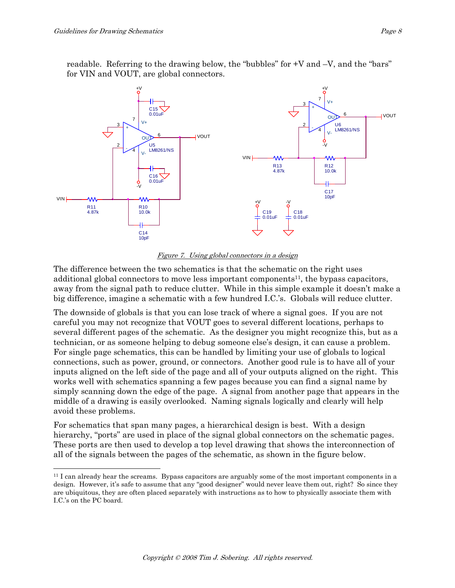readable. Referring to the drawing below, the "bubbles" for +V and –V, and the "bars" for VIN and VOUT, are global connectors.



Figure 7. Using global connectors in a design

The difference between the two schematics is that the schematic on the right uses additional global connectors to move less important components<sup>11</sup>, the bypass capacitors, away from the signal path to reduce clutter. While in this simple example it doesn't make a big difference, imagine a schematic with a few hundred I.C.'s. Globals will reduce clutter.

The downside of globals is that you can lose track of where a signal goes. If you are not careful you may not recognize that VOUT goes to several different locations, perhaps to several different pages of the schematic. As the designer you might recognize this, but as a technician, or as someone helping to debug someone else's design, it can cause a problem. For single page schematics, this can be handled by limiting your use of globals to logical connections, such as power, ground, or connectors. Another good rule is to have all of your inputs aligned on the left side of the page and all of your outputs aligned on the right. This works well with schematics spanning a few pages because you can find a signal name by simply scanning down the edge of the page. A signal from another page that appears in the middle of a drawing is easily overlooked. Naming signals logically and clearly will help avoid these problems.

For schematics that span many pages, a hierarchical design is best. With a design hierarchy, "ports" are used in place of the signal global connectors on the schematic pages. These ports are then used to develop a top level drawing that shows the interconnection of all of the signals between the pages of the schematic, as shown in the figure below.

<sup>&</sup>lt;sup>11</sup> I can already hear the screams. Bypass capacitors are arguably some of the most important components in a design. However, it's safe to assume that any "good designer" would never leave them out, right? So since they are ubiquitous, they are often placed separately with instructions as to how to physically associate them with I.C.'s on the PC board.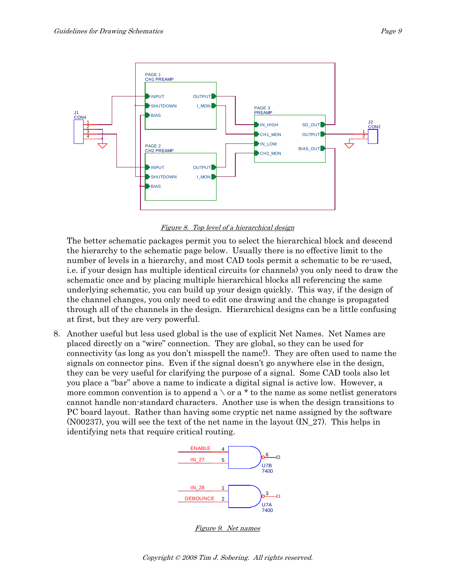

Figure 8. Top level of a hierarchical design

 The better schematic packages permit you to select the hierarchical block and descend the hierarchy to the schematic page below. Usually there is no effective limit to the number of levels in a hierarchy, and most CAD tools permit a schematic to be re-used, i.e. if your design has multiple identical circuits (or channels) you only need to draw the schematic once and by placing multiple hierarchical blocks all referencing the same underlying schematic, you can build up your design quickly. This way, if the design of the channel changes, you only need to edit one drawing and the change is propagated through all of the channels in the design. Hierarchical designs can be a little confusing at first, but they are very powerful.

8. Another useful but less used global is the use of explicit Net Names. Net Names are placed directly on a "wire" connection. They are global, so they can be used for connectivity (as long as you don't misspell the name!). They are often used to name the signals on connector pins. Even if the signal doesn't go anywhere else in the design, they can be very useful for clarifying the purpose of a signal. Some CAD tools also let you place a "bar" above a name to indicate a digital signal is active low. However, a more common convention is to append a  $\setminus$  or a \* to the name as some netlist generators cannot handle non-standard characters. Another use is when the design transitions to PC board layout. Rather than having some cryptic net name assigned by the software (N00237), you will see the text of the net name in the layout (IN\_27). This helps in identifying nets that require critical routing.



Figure 9. Net names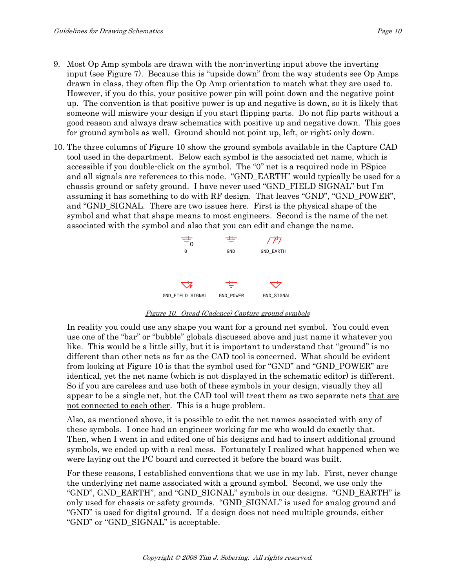- 9. Most Op Amp symbols are drawn with the non-inverting input above the inverting input (see Figure 7). Because this is "upside down" from the way students see Op Amps drawn in class, they often flip the Op Amp orientation to match what they are used to. However, if you do this, your positive power pin will point down and the negative point up. The convention is that positive power is up and negative is down, so it is likely that someone will miswire your design if you start flipping parts. Do not flip parts without a good reason and always draw schematics with positive up and negative down. This goes for ground symbols as well. Ground should not point up, left, or right; only down.
- 10. The three columns of Figure 10 show the ground symbols available in the Capture CAD tool used in the department. Below each symbol is the associated net name, which is accessible if you double-click on the symbol. The "0" net is a required node in PSpice and all signals are references to this node. "GND\_EARTH" would typically be used for a chassis ground or safety ground. I have never used "GND\_FIELD SIGNAL" but I'm assuming it has something to do with RF design. That leaves "GND", "GND\_POWER", and "GND\_SIGNAL. There are two issues here. First is the physical shape of the symbol and what that shape means to most engineers. Second is the name of the net associated with the symbol and also that you can edit and change the name.

| $\equiv\atop{0}$ | ₩.        |            |
|------------------|-----------|------------|
| 0                | GND       | GND_EARTH  |
|                  |           |            |
| ↸                | ₩         |            |
| GND_FIELD SIGNAL | GND_POWER | GND_SIGNAL |

Figure 10. Orcad (Cadence) Capture ground symbols

 In reality you could use any shape you want for a ground net symbol. You could even use one of the "bar" or "bubble" globals discussed above and just name it whatever you like. This would be a little silly, but it is important to understand that "ground" is no different than other nets as far as the CAD tool is concerned. What should be evident from looking at Figure 10 is that the symbol used for "GND" and "GND\_POWER" are identical, yet the net name (which is not displayed in the schematic editor) is different. So if you are careless and use both of these symbols in your design, visually they all appear to be a single net, but the CAD tool will treat them as two separate nets that are not connected to each other. This is a huge problem.

 Also, as mentioned above, it is possible to edit the net names associated with any of these symbols. I once had an engineer working for me who would do exactly that. Then, when I went in and edited one of his designs and had to insert additional ground symbols, we ended up with a real mess. Fortunately I realized what happened when we were laying out the PC board and corrected it before the board was built.

 For these reasons, I established conventions that we use in my lab. First, never change the underlying net name associated with a ground symbol. Second, we use only the "GND", GND\_EARTH", and "GND\_SIGNAL" symbols in our designs. "GND\_EARTH" is only used for chassis or safety grounds. "GND\_SIGNAL" is used for analog ground and "GND" is used for digital ground. If a design does not need multiple grounds, either "GND" or "GND\_SIGNAL" is acceptable.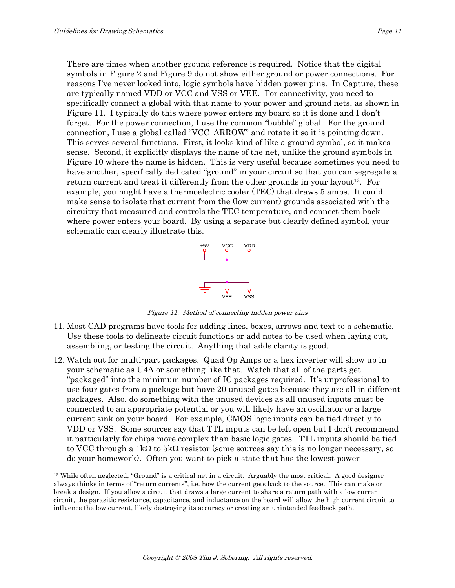There are times when another ground reference is required. Notice that the digital symbols in Figure 2 and Figure 9 do not show either ground or power connections. For reasons I've never looked into, logic symbols have hidden power pins. In Capture, these are typically named VDD or VCC and VSS or VEE. For connectivity, you need to specifically connect a global with that name to your power and ground nets, as shown in Figure 11. I typically do this where power enters my board so it is done and I don't forget. For the power connection, I use the common "bubble" global. For the ground connection, I use a global called "VCC\_ARROW" and rotate it so it is pointing down. This serves several functions. First, it looks kind of like a ground symbol, so it makes sense. Second, it explicitly displays the name of the net, unlike the ground symbols in Figure 10 where the name is hidden. This is very useful because sometimes you need to have another, specifically dedicated "ground" in your circuit so that you can segregate a return current and treat it differently from the other grounds in your layout<sup>12</sup>. For example, you might have a thermoelectric cooler (TEC) that draws 5 amps. It could make sense to isolate that current from the (low current) grounds associated with the circuitry that measured and controls the TEC temperature, and connect them back where power enters your board. By using a separate but clearly defined symbol, your schematic can clearly illustrate this.



Figure 11. Method of connecting hidden power pins

- 11. Most CAD programs have tools for adding lines, boxes, arrows and text to a schematic. Use these tools to delineate circuit functions or add notes to be used when laying out, assembling, or testing the circuit. Anything that adds clarity is good.
- 12. Watch out for multi-part packages. Quad Op Amps or a hex inverter will show up in your schematic as U4A or something like that. Watch that all of the parts get "packaged" into the minimum number of IC packages required. It's unprofessional to use four gates from a package but have 20 unused gates because they are all in different packages. Also, do something with the unused devices as all unused inputs must be connected to an appropriate potential or you will likely have an oscillator or a large current sink on your board. For example, CMOS logic inputs can be tied directly to VDD or VSS. Some sources say that TTL inputs can be left open but I don't recommend it particularly for chips more complex than basic logic gates. TTL inputs should be tied to VCC through a  $1k\Omega$  to 5k $\Omega$  resistor (some sources say this is no longer necessary, so do your homework). Often you want to pick a state that has the lowest power

<sup>12</sup> While often neglected, "Ground" is a critical net in a circuit. Arguably the most critical. A good designer always thinks in terms of "return currents", i.e. how the current gets back to the source. This can make or break a design. If you allow a circuit that draws a large current to share a return path with a low current circuit, the parasitic resistance, capacitance, and inductance on the board will allow the high current circuit to influence the low current, likely destroying its accuracy or creating an unintended feedback path.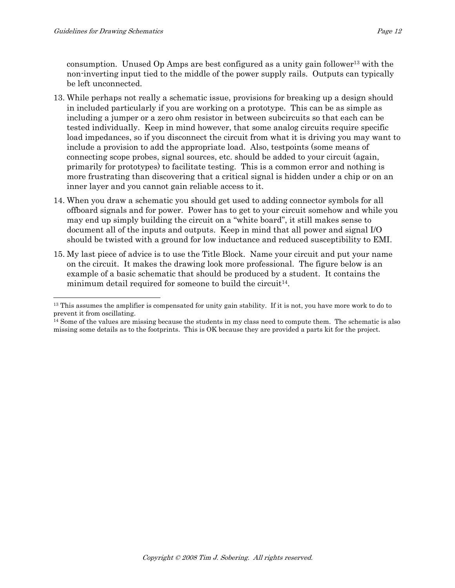consumption. Unused Op Amps are best configured as a unity gain follower<sup>13</sup> with the non-inverting input tied to the middle of the power supply rails. Outputs can typically be left unconnected.

- 13. While perhaps not really a schematic issue, provisions for breaking up a design should in included particularly if you are working on a prototype. This can be as simple as including a jumper or a zero ohm resistor in between subcircuits so that each can be tested individually. Keep in mind however, that some analog circuits require specific load impedances, so if you disconnect the circuit from what it is driving you may want to include a provision to add the appropriate load. Also, testpoints (some means of connecting scope probes, signal sources, etc. should be added to your circuit (again, primarily for prototypes) to facilitate testing. This is a common error and nothing is more frustrating than discovering that a critical signal is hidden under a chip or on an inner layer and you cannot gain reliable access to it.
- 14. When you draw a schematic you should get used to adding connector symbols for all offboard signals and for power. Power has to get to your circuit somehow and while you may end up simply building the circuit on a "white board", it still makes sense to document all of the inputs and outputs. Keep in mind that all power and signal I/O should be twisted with a ground for low inductance and reduced susceptibility to EMI.
- 15. My last piece of advice is to use the Title Block. Name your circuit and put your name on the circuit. It makes the drawing look more professional. The figure below is an example of a basic schematic that should be produced by a student. It contains the minimum detail required for some ne to build the circuit<sup>14</sup>.

<sup>&</sup>lt;sup>13</sup> This assumes the amplifier is compensated for unity gain stability. If it is not, you have more work to do to prevent it from oscillating.

<sup>&</sup>lt;sup>14</sup> Some of the values are missing because the students in my class need to compute them. The schematic is also missing some details as to the footprints. This is OK because they are provided a parts kit for the project.